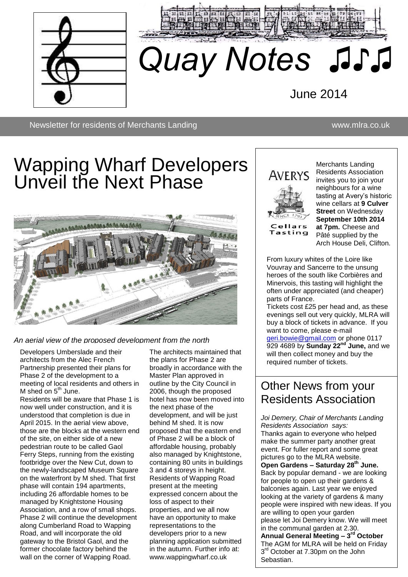



# *Quay Notes ♫♪♫*

June 2014

Newsletter for residents of Merchants Landing www.mlra.co.uk

## Wapping Wharf Developers Unveil the Next Phase



*An aerial view of the proposed development from the north*

Developers Umberslade and their architects from the Alec French Partnership presented their plans for Phase 2 of the development to a meeting of local residents and others in M shed on  $5<sup>th</sup>$  June.

Residents will be aware that Phase 1 is now well under construction, and it is understood that completion is due in April 2015. In the aerial view above, those are the blocks at the western end of the site, on either side of a new pedestrian route to be called Gaol Ferry Steps, running from the existing footbridge over the New Cut, down to the newly-landscaped Museum Square on the waterfront by M shed. That first phase will contain 194 apartments, including 26 affordable homes to be managed by Knightstone Housing Association, and a row of small shops. Phase 2 will continue the development along Cumberland Road to Wapping Road, and will incorporate the old gateway to the Bristol Gaol, and the former chocolate factory behind the wall on the corner of Wapping Road.

The architects maintained that the plans for Phase 2 are broadly in accordance with the Master Plan approved in outline by the City Council in 2006, though the proposed hotel has now been moved into the next phase of the development, and will be just behind M shed. It is now proposed that the eastern end of Phase 2 will be a block of affordable housing, probably also managed by Knightstone, containing 80 units in buildings 3 and 4 storeys in height. Residents of Wapping Road present at the meeting expressed concern about the loss of aspect to their properties, and we all now have an opportunity to make representations to the developers prior to a new planning application submitted in the autumn. Further info at: www.wappingwharf.co.uk



Cellars Tasting

Merchants Landing Residents Association invites you to join your neighbours for a wine tasting at Avery's historic wine cellars at **9 Culver Street** on Wednesday **September 10th 2014 at 7pm.** Cheese and Pâté supplied by the Arch House Deli, Clifton.

asung win mgmigm ut<del>e</del><br>Secieted (and cheaner) often under appreciated (and cheaper)<br>parts of France. From luxury whites of the Loire like Vouvray and Sancerre to the unsung heroes of the south like Corbières and Minervois, this tasting will highlight the parts of France.

.<br>Tickets cost £25 per head and, as these everings sell out very quickly, MERA will<br>buy a block of tickets in advance. If you bey a situation and and accuracion in your [geri.bowie@gmail.com](mailto:geri.bowie@gmail.com)</u> or phone 0117 929 4689 by **Sunday 22<sup>nd'</sup> June,** and we will then collect money and buy the required number of tickets. evenings sell out very quickly, MLRA will

#### Other News from your Residents [As](mailto:geri.bowie@gmail.com)sociation <u>If you want to come, when the company of the company of the company of the company of the company of the compa</u> n os budduu

*Joi Demery, Chair of Merchants Landing*  929 4689 by *Residents Association says:* Thanks again to everyone who helped make the summer party another great event. For fuller report and some great pictures go to the MLRA website. pictures go to the MLRA website.<br>**Open Gardens – Saturday 28<sup>th</sup> June.** Back by popular demand - we are looking for people to open up their gardens & balconies again. Last year we enjoyed looking at the variety of gardens & many people were inspired with new ideas. If you are willing to open your garden please let Joi Demery know. We will meet in the communal garden at 2.30. **Annual General Meeting – 3 rd October** The AGM for MLRA will be held on Friday 3<sup>rd</sup> October at 7.30pm on the John Sebastian. or iviercrianis Landing<br>Ition\_savs: